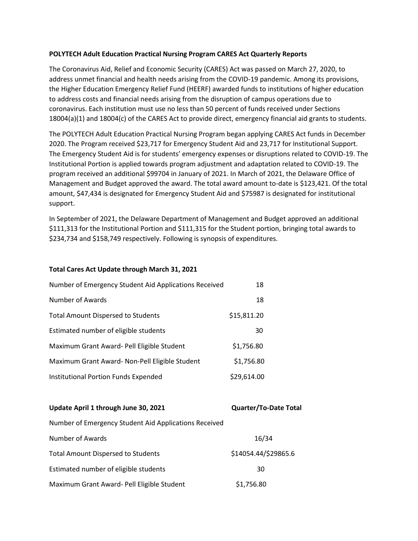## **POLYTECH Adult Education Practical Nursing Program CARES Act Quarterly Reports**

The Coronavirus Aid, Relief and Economic Security (CARES) Act was passed on March 27, 2020, to address unmet financial and health needs arising from the COVID-19 pandemic. Among its provisions, the Higher Education Emergency Relief Fund (HEERF) awarded funds to institutions of higher education to address costs and financial needs arising from the disruption of campus operations due to coronavirus. Each institution must use no less than 50 percent of funds received under Sections 18004(a)(1) and 18004(c) of the CARES Act to provide direct, emergency financial aid grants to students.

The POLYTECH Adult Education Practical Nursing Program began applying CARES Act funds in December 2020. The Program received \$23,717 for Emergency Student Aid and 23,717 for Institutional Support. The Emergency Student Aid is for students' emergency expenses or disruptions related to COVID-19. The Institutional Portion is applied towards program adjustment and adaptation related to COVID-19. The program received an additional \$99704 in January of 2021. In March of 2021, the Delaware Office of Management and Budget approved the award. The total award amount to-date is \$123,421. Of the total amount, \$47,434 is designated for Emergency Student Aid and \$75987 is designated for institutional support.

In September of 2021, the Delaware Department of Management and Budget approved an additional \$111,313 for the Institutional Portion and \$111,315 for the Student portion, bringing total awards to \$234,734 and \$158,749 respectively. Following is synopsis of expenditures.

## **Total Cares Act Update through March 31, 2021**

| Number of Emergency Student Aid Applications Received | 18          |
|-------------------------------------------------------|-------------|
| Number of Awards                                      | 18          |
| <b>Total Amount Dispersed to Students</b>             | \$15,811.20 |
| Estimated number of eligible students                 | 30          |
| Maximum Grant Award- Pell Eligible Student            | \$1,756.80  |
| Maximum Grant Award- Non-Pell Eligible Student        | \$1,756.80  |
| Institutional Portion Funds Expended                  | \$29,614.00 |

| Update April 1 through June 30, 2021                  | <b>Quarter/To-Date Total</b> |
|-------------------------------------------------------|------------------------------|
| Number of Emergency Student Aid Applications Received |                              |
| Number of Awards                                      | 16/34                        |
| <b>Total Amount Dispersed to Students</b>             | \$14054.44/\$29865.6         |
| Estimated number of eligible students                 | 30                           |
| Maximum Grant Award- Pell Eligible Student            | \$1,756.80                   |